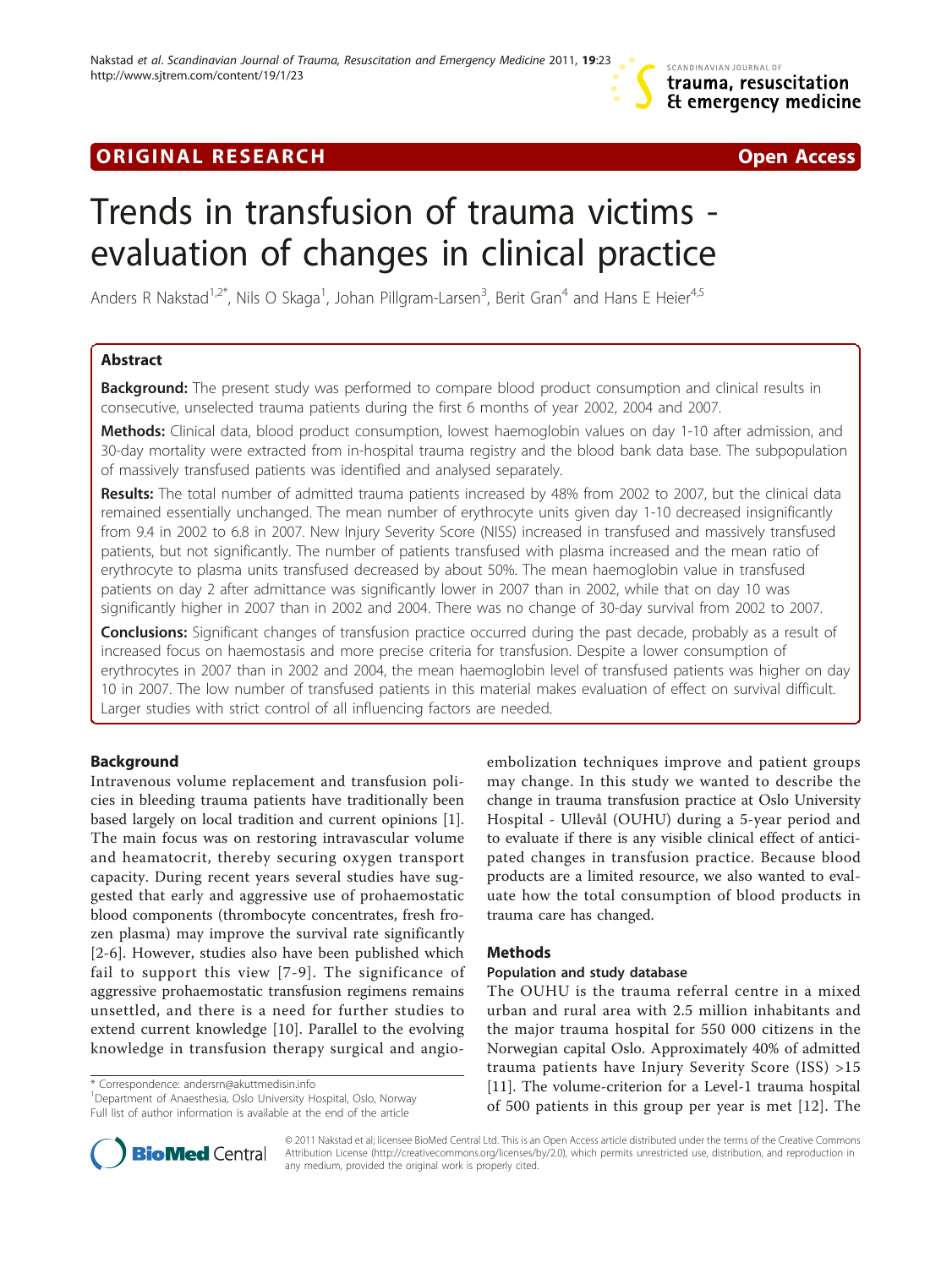## **ORIGINAL RESEARCH CONSUMING ACCESS**



# Trends in transfusion of trauma victims evaluation of changes in clinical practice

Anders R Nakstad<sup>1,2\*</sup>, Nils O Skaga<sup>1</sup>, Johan Pillgram-Larsen<sup>3</sup>, Berit Gran<sup>4</sup> and Hans E Heier<sup>4,5</sup>

## Abstract

**Background:** The present study was performed to compare blood product consumption and clinical results in consecutive, unselected trauma patients during the first 6 months of year 2002, 2004 and 2007.

Methods: Clinical data, blood product consumption, lowest haemoglobin values on day 1-10 after admission, and 30-day mortality were extracted from in-hospital trauma registry and the blood bank data base. The subpopulation of massively transfused patients was identified and analysed separately.

Results: The total number of admitted trauma patients increased by 48% from 2002 to 2007, but the clinical data remained essentially unchanged. The mean number of erythrocyte units given day 1-10 decreased insignificantly from 9.4 in 2002 to 6.8 in 2007. New Injury Severity Score (NISS) increased in transfused and massively transfused patients, but not significantly. The number of patients transfused with plasma increased and the mean ratio of erythrocyte to plasma units transfused decreased by about 50%. The mean haemoglobin value in transfused patients on day 2 after admittance was significantly lower in 2007 than in 2002, while that on day 10 was significantly higher in 2007 than in 2002 and 2004. There was no change of 30-day survival from 2002 to 2007.

**Conclusions:** Significant changes of transfusion practice occurred during the past decade, probably as a result of increased focus on haemostasis and more precise criteria for transfusion. Despite a lower consumption of erythrocytes in 2007 than in 2002 and 2004, the mean haemoglobin level of transfused patients was higher on day 10 in 2007. The low number of transfused patients in this material makes evaluation of effect on survival difficult. Larger studies with strict control of all influencing factors are needed.

## Background

Intravenous volume replacement and transfusion policies in bleeding trauma patients have traditionally been based largely on local tradition and current opinions [\[1](#page-7-0)]. The main focus was on restoring intravascular volume and heamatocrit, thereby securing oxygen transport capacity. During recent years several studies have suggested that early and aggressive use of prohaemostatic blood components (thrombocyte concentrates, fresh frozen plasma) may improve the survival rate significantly [[2-6\]](#page-7-0). However, studies also have been published which fail to support this view [[7-9](#page-7-0)]. The significance of aggressive prohaemostatic transfusion regimens remains unsettled, and there is a need for further studies to extend current knowledge [[10\]](#page-7-0). Parallel to the evolving knowledge in transfusion therapy surgical and angio-

\* Correspondence: [andersrn@akuttmedisin.info](mailto:andersrn@akuttmedisin.info)

<sup>1</sup> Department of Anaesthesia, Oslo University Hospital, Oslo, Norway Full list of author information is available at the end of the article



## Methods

## Population and study database

The OUHU is the trauma referral centre in a mixed urban and rural area with 2.5 million inhabitants and the major trauma hospital for 550 000 citizens in the Norwegian capital Oslo. Approximately 40% of admitted trauma patients have Injury Severity Score (ISS) >15 [[11\]](#page-8-0). The volume-criterion for a Level-1 trauma hospital of 500 patients in this group per year is met [[12\]](#page-8-0). The



© 2011 Nakstad et al; licensee BioMed Central Ltd. This is an Open Access article distributed under the terms of the Creative Commons Attribution License [\(http://creativecommons.org/licenses/by/2.0](http://creativecommons.org/licenses/by/2.0)), which permits unrestricted use, distribution, and reproduction in any medium, provided the original work is properly cited.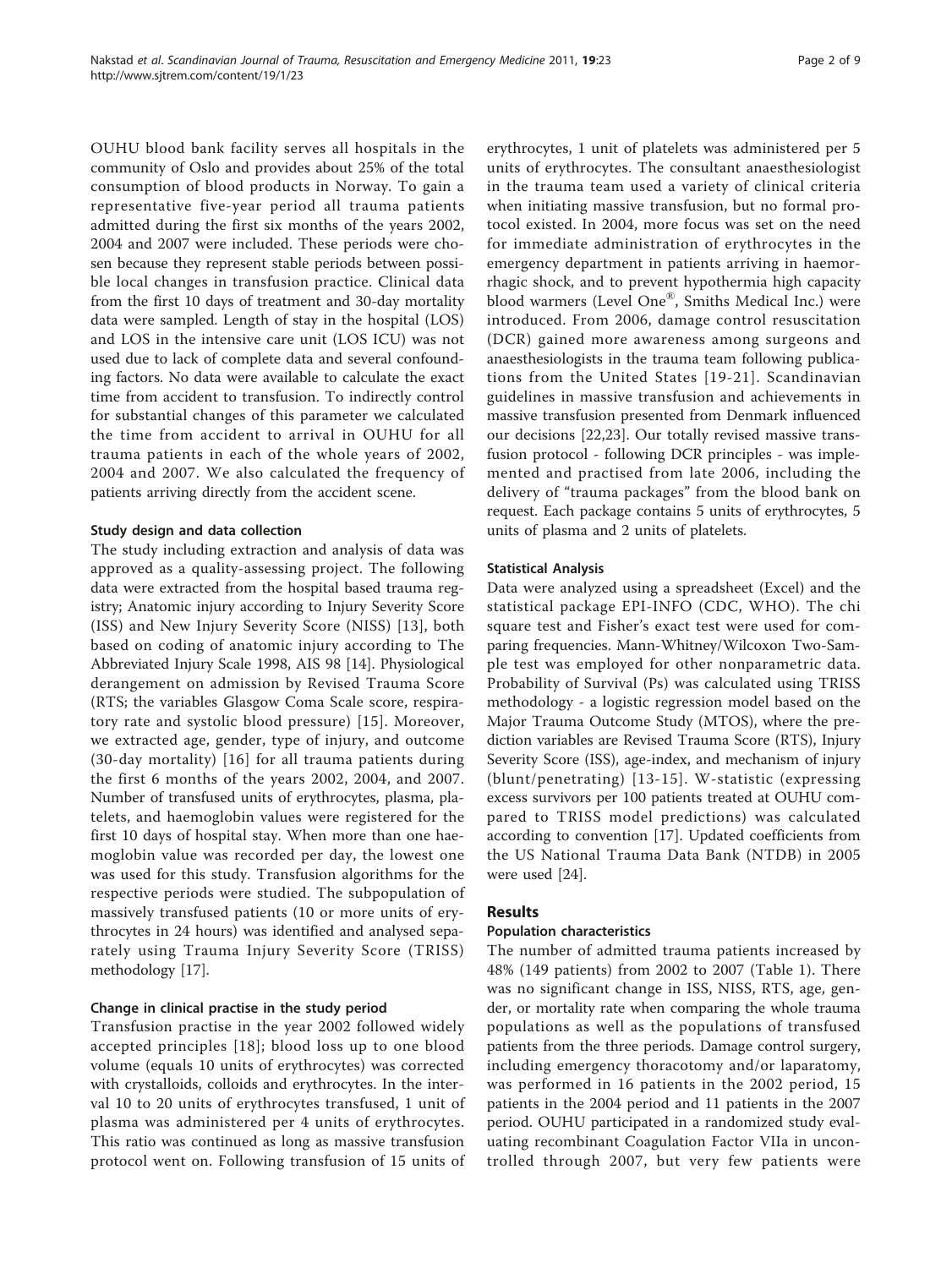OUHU blood bank facility serves all hospitals in the community of Oslo and provides about 25% of the total consumption of blood products in Norway. To gain a representative five-year period all trauma patients admitted during the first six months of the years 2002, 2004 and 2007 were included. These periods were chosen because they represent stable periods between possible local changes in transfusion practice. Clinical data from the first 10 days of treatment and 30-day mortality data were sampled. Length of stay in the hospital (LOS) and LOS in the intensive care unit (LOS ICU) was not used due to lack of complete data and several confounding factors. No data were available to calculate the exact time from accident to transfusion. To indirectly control for substantial changes of this parameter we calculated the time from accident to arrival in OUHU for all trauma patients in each of the whole years of 2002, 2004 and 2007. We also calculated the frequency of patients arriving directly from the accident scene.

## Study design and data collection

The study including extraction and analysis of data was approved as a quality-assessing project. The following data were extracted from the hospital based trauma registry; Anatomic injury according to Injury Severity Score (ISS) and New Injury Severity Score (NISS) [[13](#page-8-0)], both based on coding of anatomic injury according to The Abbreviated Injury Scale 1998, AIS 98 [[14](#page-8-0)]. Physiological derangement on admission by Revised Trauma Score (RTS; the variables Glasgow Coma Scale score, respiratory rate and systolic blood pressure) [[15](#page-8-0)]. Moreover, we extracted age, gender, type of injury, and outcome (30-day mortality) [[16](#page-8-0)] for all trauma patients during the first 6 months of the years 2002, 2004, and 2007. Number of transfused units of erythrocytes, plasma, platelets, and haemoglobin values were registered for the first 10 days of hospital stay. When more than one haemoglobin value was recorded per day, the lowest one was used for this study. Transfusion algorithms for the respective periods were studied. The subpopulation of massively transfused patients (10 or more units of erythrocytes in 24 hours) was identified and analysed separately using Trauma Injury Severity Score (TRISS) methodology [\[17\]](#page-8-0).

## Change in clinical practise in the study period

Transfusion practise in the year 2002 followed widely accepted principles [\[18](#page-8-0)]; blood loss up to one blood volume (equals 10 units of erythrocytes) was corrected with crystalloids, colloids and erythrocytes. In the interval 10 to 20 units of erythrocytes transfused, 1 unit of plasma was administered per 4 units of erythrocytes. This ratio was continued as long as massive transfusion protocol went on. Following transfusion of 15 units of

erythrocytes, 1 unit of platelets was administered per 5 units of erythrocytes. The consultant anaesthesiologist in the trauma team used a variety of clinical criteria when initiating massive transfusion, but no formal protocol existed. In 2004, more focus was set on the need for immediate administration of erythrocytes in the emergency department in patients arriving in haemorrhagic shock, and to prevent hypothermia high capacity blood warmers (Level One®, Smiths Medical Inc.) were introduced. From 2006, damage control resuscitation (DCR) gained more awareness among surgeons and anaesthesiologists in the trauma team following publications from the United States [[19-21\]](#page-8-0). Scandinavian guidelines in massive transfusion and achievements in massive transfusion presented from Denmark influenced our decisions [[22,23\]](#page-8-0). Our totally revised massive transfusion protocol - following DCR principles - was implemented and practised from late 2006, including the delivery of "trauma packages" from the blood bank on request. Each package contains 5 units of erythrocytes, 5 units of plasma and 2 units of platelets.

#### Statistical Analysis

Data were analyzed using a spreadsheet (Excel) and the statistical package EPI-INFO (CDC, WHO). The chi square test and Fisher's exact test were used for comparing frequencies. Mann-Whitney/Wilcoxon Two-Sample test was employed for other nonparametric data. Probability of Survival (Ps) was calculated using TRISS methodology - a logistic regression model based on the Major Trauma Outcome Study (MTOS), where the prediction variables are Revised Trauma Score (RTS), Injury Severity Score (ISS), age-index, and mechanism of injury (blunt/penetrating) [[13-15\]](#page-8-0). W-statistic (expressing excess survivors per 100 patients treated at OUHU compared to TRISS model predictions) was calculated according to convention [\[17](#page-8-0)]. Updated coefficients from the US National Trauma Data Bank (NTDB) in 2005 were used [\[24\]](#page-8-0).

#### Results

#### Population characteristics

The number of admitted trauma patients increased by 48% (149 patients) from 2002 to 2007 (Table [1\)](#page-2-0). There was no significant change in ISS, NISS, RTS, age, gender, or mortality rate when comparing the whole trauma populations as well as the populations of transfused patients from the three periods. Damage control surgery, including emergency thoracotomy and/or laparatomy, was performed in 16 patients in the 2002 period, 15 patients in the 2004 period and 11 patients in the 2007 period. OUHU participated in a randomized study evaluating recombinant Coagulation Factor VIIa in uncontrolled through 2007, but very few patients were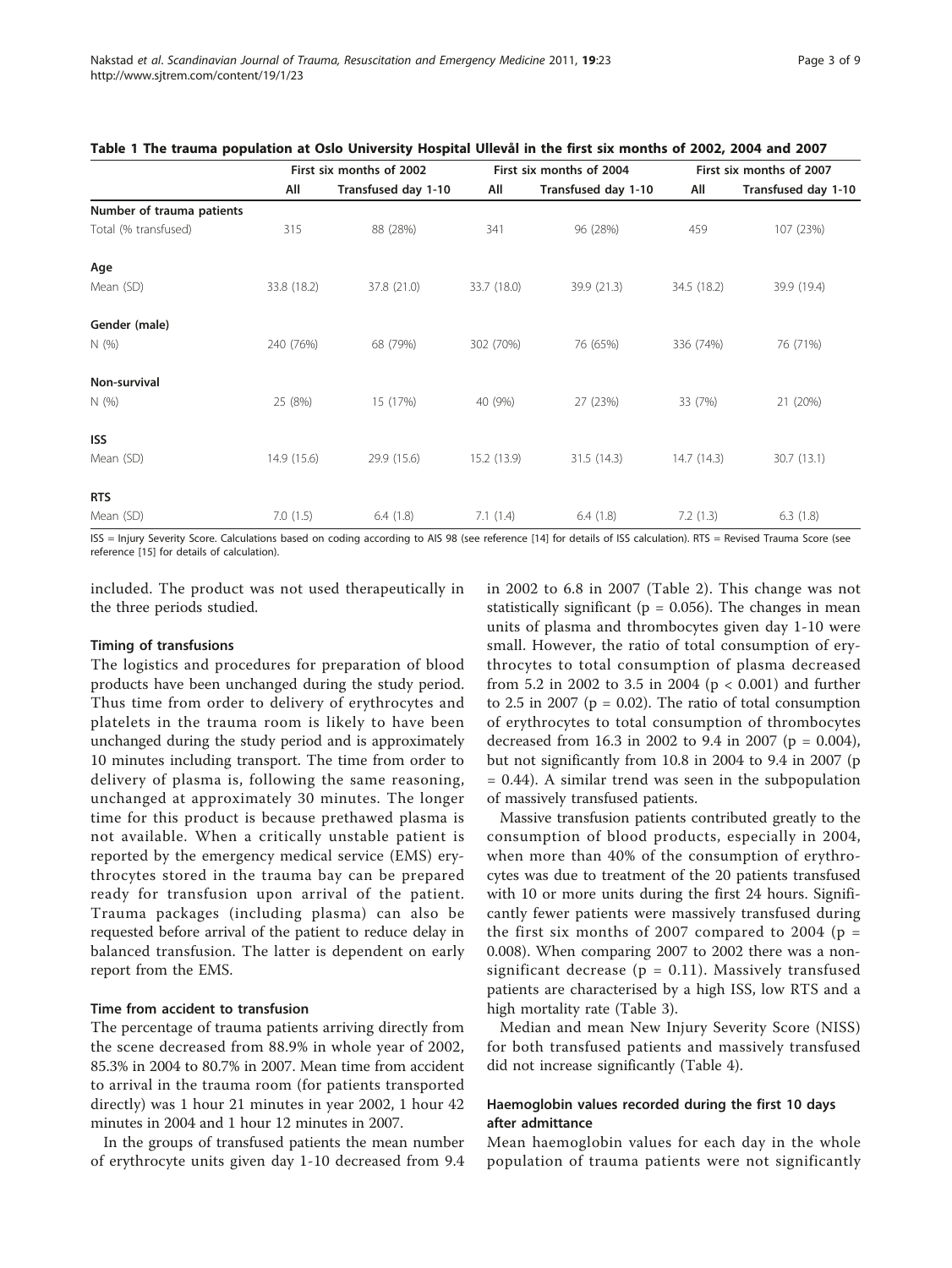| Page 3 of 9 |  |
|-------------|--|
|-------------|--|

|                           | First six months of 2002 |                     |             | First six months of 2004 | First six months of 2007 |                     |  |
|---------------------------|--------------------------|---------------------|-------------|--------------------------|--------------------------|---------------------|--|
|                           | All                      | Transfused day 1-10 | All         | Transfused day 1-10      | All                      | Transfused day 1-10 |  |
| Number of trauma patients |                          |                     |             |                          |                          |                     |  |
| Total (% transfused)      | 315                      | 88 (28%)            | 341         | 96 (28%)                 | 459                      | 107 (23%)           |  |
| Age                       |                          |                     |             |                          |                          |                     |  |
| Mean (SD)                 | 33.8 (18.2)              | 37.8 (21.0)         | 33.7 (18.0) | 39.9 (21.3)              | 34.5 (18.2)              | 39.9 (19.4)         |  |
| Gender (male)             |                          |                     |             |                          |                          |                     |  |
| N(% )                     | 240 (76%)                | 68 (79%)            | 302 (70%)   | 76 (65%)                 | 336 (74%)                | 76 (71%)            |  |
| Non-survival              |                          |                     |             |                          |                          |                     |  |
| N(% )                     | 25 (8%)                  | 15 (17%)            | 40 (9%)     | 27 (23%)                 | 33 (7%)                  | 21 (20%)            |  |
| <b>ISS</b>                |                          |                     |             |                          |                          |                     |  |
| Mean (SD)                 | 14.9(15.6)               | 29.9 (15.6)         | 15.2 (13.9) | 31.5(14.3)               | 14.7(14.3)               | 30.7(13.1)          |  |
| <b>RTS</b>                |                          |                     |             |                          |                          |                     |  |
| Mean (SD)                 | 7.0(1.5)                 | 6.4(1.8)            | 7.1(1.4)    | 6.4(1.8)                 | 7.2(1.3)                 | 6.3(1.8)            |  |

<span id="page-2-0"></span>Table 1 The trauma population at Oslo University Hospital Ullevål in the first six months of 2002, 2004 and 2007

ISS = Injury Severity Score. Calculations based on coding according to AIS 98 (see reference [[14\]](#page-8-0) for details of ISS calculation). RTS = Revised Trauma Score (see reference [[15\]](#page-8-0) for details of calculation).

included. The product was not used therapeutically in the three periods studied.

#### Timing of transfusions

The logistics and procedures for preparation of blood products have been unchanged during the study period. Thus time from order to delivery of erythrocytes and platelets in the trauma room is likely to have been unchanged during the study period and is approximately 10 minutes including transport. The time from order to delivery of plasma is, following the same reasoning, unchanged at approximately 30 minutes. The longer time for this product is because prethawed plasma is not available. When a critically unstable patient is reported by the emergency medical service (EMS) erythrocytes stored in the trauma bay can be prepared ready for transfusion upon arrival of the patient. Trauma packages (including plasma) can also be requested before arrival of the patient to reduce delay in balanced transfusion. The latter is dependent on early report from the EMS.

#### Time from accident to transfusion

The percentage of trauma patients arriving directly from the scene decreased from 88.9% in whole year of 2002, 85.3% in 2004 to 80.7% in 2007. Mean time from accident to arrival in the trauma room (for patients transported directly) was 1 hour 21 minutes in year 2002, 1 hour 42 minutes in 2004 and 1 hour 12 minutes in 2007.

In the groups of transfused patients the mean number of erythrocyte units given day 1-10 decreased from 9.4 in 2002 to 6.8 in 2007 (Table [2](#page-3-0)). This change was not statistically significant ( $p = 0.056$ ). The changes in mean units of plasma and thrombocytes given day 1-10 were small. However, the ratio of total consumption of erythrocytes to total consumption of plasma decreased from 5.2 in 2002 to 3.5 in 2004 (p < 0.001) and further to 2.5 in 2007 ( $p = 0.02$ ). The ratio of total consumption of erythrocytes to total consumption of thrombocytes decreased from 16.3 in 2002 to 9.4 in 2007 ( $p = 0.004$ ), but not significantly from 10.8 in 2004 to 9.4 in 2007 (p  $= 0.44$ ). A similar trend was seen in the subpopulation of massively transfused patients.

Massive transfusion patients contributed greatly to the consumption of blood products, especially in 2004, when more than 40% of the consumption of erythrocytes was due to treatment of the 20 patients transfused with 10 or more units during the first 24 hours. Significantly fewer patients were massively transfused during the first six months of 2007 compared to 2004 ( $p =$ 0.008). When comparing 2007 to 2002 there was a nonsignificant decrease ( $p = 0.11$ ). Massively transfused patients are characterised by a high ISS, low RTS and a high mortality rate (Table [3](#page-3-0)).

Median and mean New Injury Severity Score (NISS) for both transfused patients and massively transfused did not increase significantly (Table [4\)](#page-4-0).

## Haemoglobin values recorded during the first 10 days after admittance

Mean haemoglobin values for each day in the whole population of trauma patients were not significantly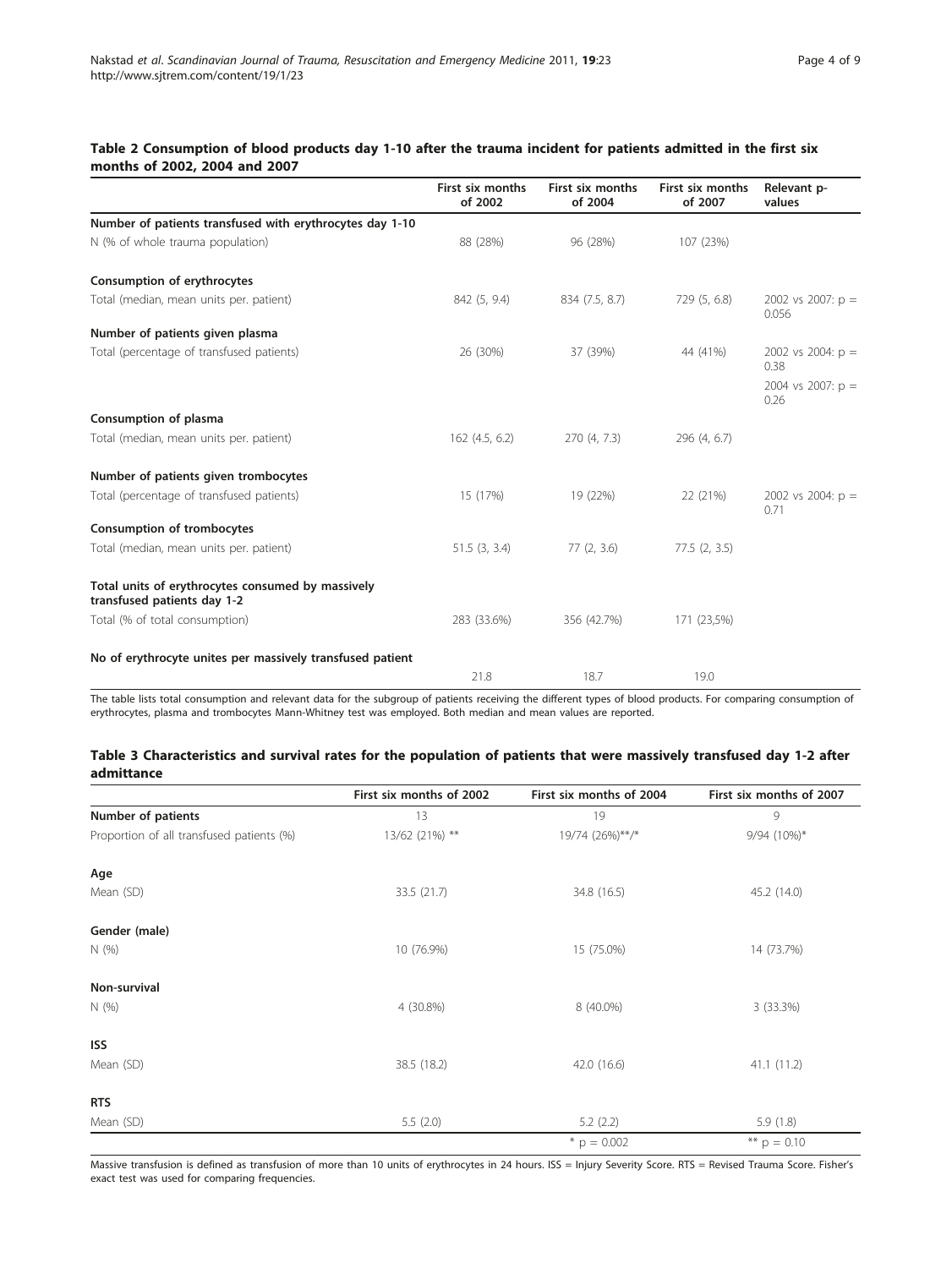## <span id="page-3-0"></span>Table 2 Consumption of blood products day 1-10 after the trauma incident for patients admitted in the first six months of 2002, 2004 and 2007

|                                                                                  | First six months<br>of 2002 | First six months<br>of 2004 | First six months<br>of 2007 | Relevant p-<br>values        |
|----------------------------------------------------------------------------------|-----------------------------|-----------------------------|-----------------------------|------------------------------|
| Number of patients transfused with erythrocytes day 1-10                         |                             |                             |                             |                              |
| N (% of whole trauma population)                                                 | 88 (28%)                    | 96 (28%)                    | 107 (23%)                   |                              |
| Consumption of erythrocytes                                                      |                             |                             |                             |                              |
| Total (median, mean units per. patient)                                          | 842 (5, 9.4)                | 834 (7.5, 8.7)              | 729 (5, 6.8)                | 2002 vs 2007: $p =$<br>0.056 |
| Number of patients given plasma                                                  |                             |                             |                             |                              |
| Total (percentage of transfused patients)                                        | 26 (30%)                    | 37 (39%)                    | 44 (41%)                    | 2002 vs 2004: $p =$<br>0.38  |
|                                                                                  |                             |                             |                             | 2004 vs 2007: $p =$<br>0.26  |
| Consumption of plasma                                                            |                             |                             |                             |                              |
| Total (median, mean units per. patient)                                          | 162(4.5, 6.2)               | 270(4, 7.3)                 | 296 (4, 6.7)                |                              |
| Number of patients given trombocytes                                             |                             |                             |                             |                              |
| Total (percentage of transfused patients)                                        | 15 (17%)                    | 19 (22%)                    | 22 (21%)                    | 2002 vs 2004: $p =$<br>0.71  |
| <b>Consumption of trombocytes</b>                                                |                             |                             |                             |                              |
| Total (median, mean units per. patient)                                          | 51.5(3, 3.4)                | 77(2, 3.6)                  | 77.5(2, 3.5)                |                              |
| Total units of erythrocytes consumed by massively<br>transfused patients day 1-2 |                             |                             |                             |                              |
| Total (% of total consumption)                                                   | 283 (33.6%)                 | 356 (42.7%)                 | 171 (23,5%)                 |                              |
| No of erythrocyte unites per massively transfused patient                        |                             |                             |                             |                              |
|                                                                                  | 21.8                        | 18.7                        | 19.0                        |                              |

The table lists total consumption and relevant data for the subgroup of patients receiving the different types of blood products. For comparing consumption of erythrocytes, plasma and trombocytes Mann-Whitney test was employed. Both median and mean values are reported.

#### Table 3 Characteristics and survival rates for the population of patients that were massively transfused day 1-2 after admittance

|                                           | First six months of 2002 | First six months of 2004 | First six months of 2007 |
|-------------------------------------------|--------------------------|--------------------------|--------------------------|
| Number of patients                        | 13                       | 19                       | 9                        |
| Proportion of all transfused patients (%) | 13/62 (21%) **           | 19/74 (26%)**/*          | 9/94 (10%)*              |
| Age                                       |                          |                          |                          |
| Mean (SD)                                 | 33.5(21.7)               | 34.8 (16.5)              | 45.2 (14.0)              |
| Gender (male)                             |                          |                          |                          |
| N(%                                       | 10 (76.9%)               | 15 (75.0%)               | 14 (73.7%)               |
| Non-survival                              |                          |                          |                          |
| N(%                                       | 4 (30.8%)                | 8 (40.0%)                | 3 (33.3%)                |
| <b>ISS</b>                                |                          |                          |                          |
| Mean (SD)                                 | 38.5 (18.2)              | 42.0 (16.6)              | 41.1(11.2)               |
| <b>RTS</b>                                |                          |                          |                          |
| Mean (SD)                                 | 5.5(2.0)                 | 5.2(2.2)                 | 5.9(1.8)                 |
|                                           |                          | $p = 0.002$              | ** $p = 0.10$            |

Massive transfusion is defined as transfusion of more than 10 units of erythrocytes in 24 hours. ISS = Injury Severity Score. RTS = Revised Trauma Score. Fisher's exact test was used for comparing frequencies.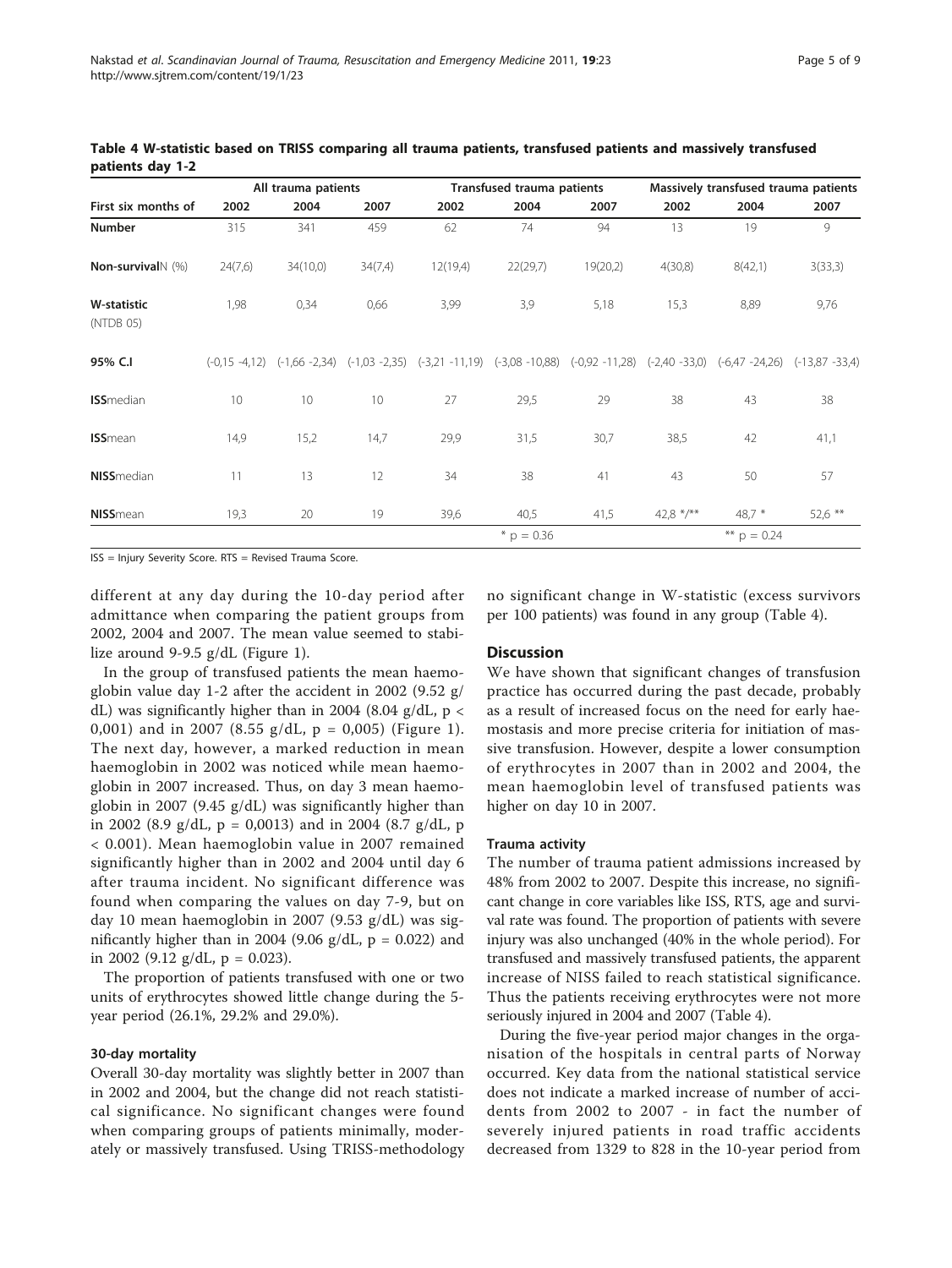|                                 | All trauma patients |          |         |                                                                       | Transfused trauma patients |                   |                  | Massively transfused trauma patients |                   |  |
|---------------------------------|---------------------|----------|---------|-----------------------------------------------------------------------|----------------------------|-------------------|------------------|--------------------------------------|-------------------|--|
| First six months of             | 2002                | 2004     | 2007    | 2002                                                                  | 2004                       | 2007              | 2002             | 2004                                 | 2007              |  |
| Number                          | 315                 | 341      | 459     | 62                                                                    | 74                         | 94                | 13               | 19                                   | 9                 |  |
| Non-survival \ (%)              | 24(7,6)             | 34(10,0) | 34(7,4) | 12(19,4)                                                              | 22(29,7)                   | 19(20,2)          | 4(30,8)          | 8(42,1)                              | 3(33,3)           |  |
| <b>W-statistic</b><br>(NTDB 05) | 1,98                | 0,34     | 0,66    | 3,99                                                                  | 3,9                        | 5,18              | 15,3             | 8,89                                 | 9,76              |  |
| 95% C.I                         | $(-0.15 -4.12)$     |          |         | $(-1,66 - 2,34)$ $(-1,03 - 2,35)$ $(-3,21 - 11,19)$ $(-3,08 - 10,88)$ |                            | $(-0.92 - 11.28)$ | $(-2,40 - 33,0)$ | $(-6,47 - 24,26)$                    | $(-13,87 - 33,4)$ |  |
| <b>ISS</b> median               | 10                  | 10       | 10      | 27                                                                    | 29,5                       | 29                | 38               | 43                                   | 38                |  |
| <b>ISS</b> mean                 | 14,9                | 15,2     | 14,7    | 29,9                                                                  | 31,5                       | 30,7              | 38,5             | 42                                   | 41,1              |  |
| <b>NISS</b> median              | 11                  | 13       | 12      | 34                                                                    | 38                         | 41                | 43               | 50                                   | 57                |  |
| <b>NISS</b> mean                | 19,3                | 20       | 19      | 39,6                                                                  | 40,5                       | 41,5              | $42,8$ */**      | 48,7 $*$                             | 52,6 **           |  |
|                                 |                     |          |         |                                                                       | $p = 0.36$                 |                   |                  | ** $p = 0.24$                        |                   |  |

<span id="page-4-0"></span>Table 4 W-statistic based on TRISS comparing all trauma patients, transfused patients and massively transfused patients day 1-2

ISS = Injury Severity Score. RTS = Revised Trauma Score.

different at any day during the 10-day period after admittance when comparing the patient groups from 2002, 2004 and 2007. The mean value seemed to stabilize around 9-9.5 g/dL (Figure [1\)](#page-5-0).

In the group of transfused patients the mean haemoglobin value day 1-2 after the accident in 2002 (9.52 g/ dL) was significantly higher than in 2004 (8.04 g/dL,  $p <$ 0,001) and in 2007 (8.55 g/dL,  $p = 0,005$ ) (Figure [1\)](#page-5-0). The next day, however, a marked reduction in mean haemoglobin in 2002 was noticed while mean haemoglobin in 2007 increased. Thus, on day 3 mean haemoglobin in 2007 (9.45 g/dL) was significantly higher than in 2002 (8.9 g/dL,  $p = 0,0013$ ) and in 2004 (8.7 g/dL,  $p$ < 0.001). Mean haemoglobin value in 2007 remained significantly higher than in 2002 and 2004 until day 6 after trauma incident. No significant difference was found when comparing the values on day 7-9, but on day 10 mean haemoglobin in 2007 (9.53 g/dL) was significantly higher than in 2004 (9.06  $g/dL$ ,  $p = 0.022$ ) and in 2002 (9.12 g/dL,  $p = 0.023$ ).

The proportion of patients transfused with one or two units of erythrocytes showed little change during the 5 year period (26.1%, 29.2% and 29.0%).

#### 30-day mortality

Overall 30-day mortality was slightly better in 2007 than in 2002 and 2004, but the change did not reach statistical significance. No significant changes were found when comparing groups of patients minimally, moderately or massively transfused. Using TRISS-methodology no significant change in W-statistic (excess survivors per 100 patients) was found in any group (Table 4).

#### **Discussion**

We have shown that significant changes of transfusion practice has occurred during the past decade, probably as a result of increased focus on the need for early haemostasis and more precise criteria for initiation of massive transfusion. However, despite a lower consumption of erythrocytes in 2007 than in 2002 and 2004, the mean haemoglobin level of transfused patients was higher on day 10 in 2007.

#### Trauma activity

The number of trauma patient admissions increased by 48% from 2002 to 2007. Despite this increase, no significant change in core variables like ISS, RTS, age and survival rate was found. The proportion of patients with severe injury was also unchanged (40% in the whole period). For transfused and massively transfused patients, the apparent increase of NISS failed to reach statistical significance. Thus the patients receiving erythrocytes were not more seriously injured in 2004 and 2007 (Table 4).

During the five-year period major changes in the organisation of the hospitals in central parts of Norway occurred. Key data from the national statistical service does not indicate a marked increase of number of accidents from 2002 to 2007 - in fact the number of severely injured patients in road traffic accidents decreased from 1329 to 828 in the 10-year period from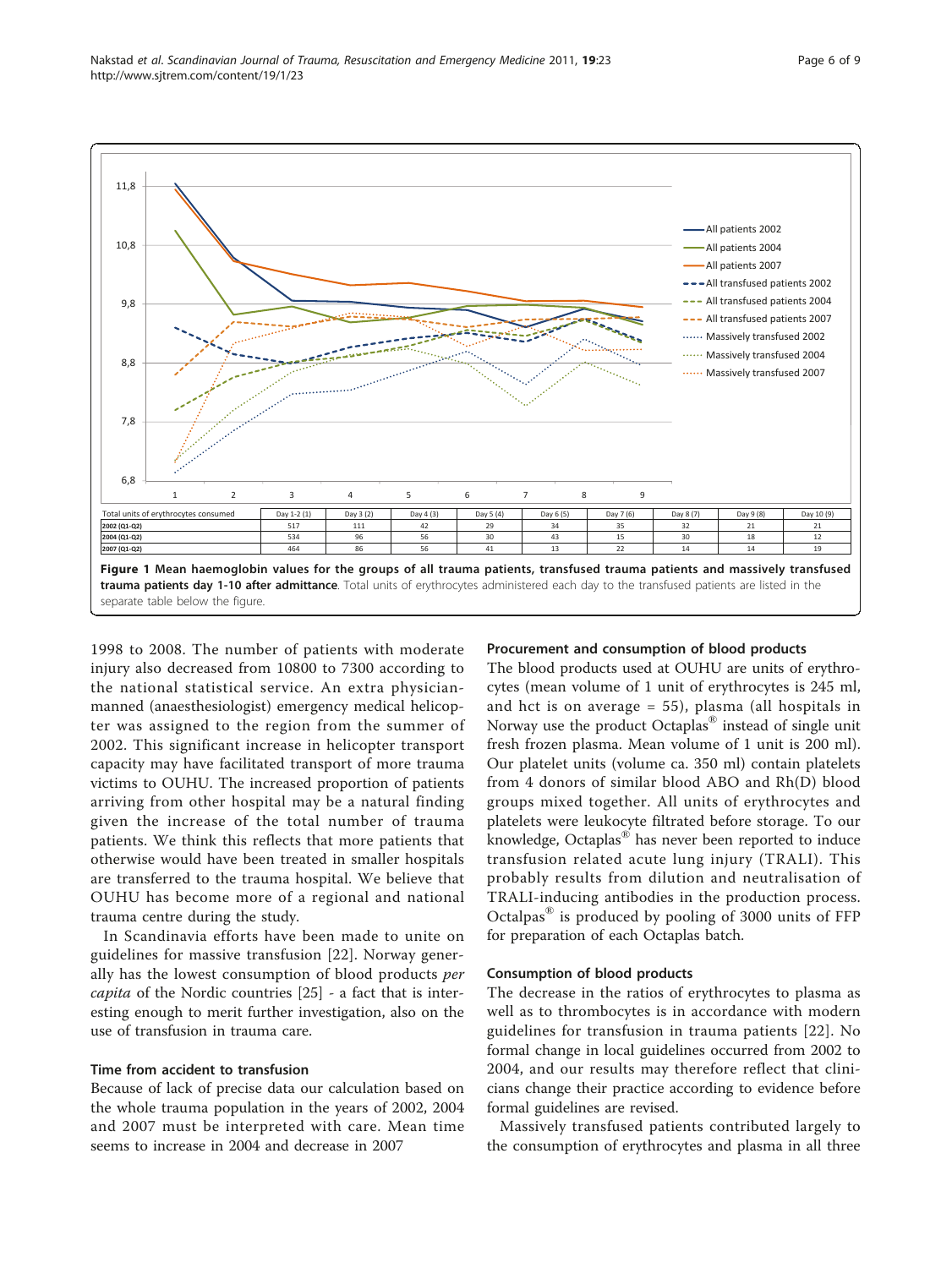<span id="page-5-0"></span>

1998 to 2008. The number of patients with moderate injury also decreased from 10800 to 7300 according to the national statistical service. An extra physicianmanned (anaesthesiologist) emergency medical helicopter was assigned to the region from the summer of 2002. This significant increase in helicopter transport capacity may have facilitated transport of more trauma victims to OUHU. The increased proportion of patients arriving from other hospital may be a natural finding given the increase of the total number of trauma patients. We think this reflects that more patients that otherwise would have been treated in smaller hospitals are transferred to the trauma hospital. We believe that OUHU has become more of a regional and national trauma centre during the study.

In Scandinavia efforts have been made to unite on guidelines for massive transfusion [[22](#page-8-0)]. Norway generally has the lowest consumption of blood products per capita of the Nordic countries [\[25](#page-8-0)] - a fact that is interesting enough to merit further investigation, also on the use of transfusion in trauma care.

#### Time from accident to transfusion

Because of lack of precise data our calculation based on the whole trauma population in the years of 2002, 2004 and 2007 must be interpreted with care. Mean time seems to increase in 2004 and decrease in 2007

#### Procurement and consumption of blood products

The blood products used at OUHU are units of erythrocytes (mean volume of 1 unit of erythrocytes is 245 ml, and hct is on average = 55), plasma (all hospitals in Norway use the product Octaplas® instead of single unit fresh frozen plasma. Mean volume of 1 unit is 200 ml). Our platelet units (volume ca. 350 ml) contain platelets from 4 donors of similar blood ABO and Rh(D) blood groups mixed together. All units of erythrocytes and platelets were leukocyte filtrated before storage. To our knowledge, Octaplas® has never been reported to induce transfusion related acute lung injury (TRALI). This probably results from dilution and neutralisation of TRALI-inducing antibodies in the production process. Octalpas® is produced by pooling of 3000 units of FFP for preparation of each Octaplas batch.

#### Consumption of blood products

The decrease in the ratios of erythrocytes to plasma as well as to thrombocytes is in accordance with modern guidelines for transfusion in trauma patients [[22](#page-8-0)]. No formal change in local guidelines occurred from 2002 to 2004, and our results may therefore reflect that clinicians change their practice according to evidence before formal guidelines are revised.

Massively transfused patients contributed largely to the consumption of erythrocytes and plasma in all three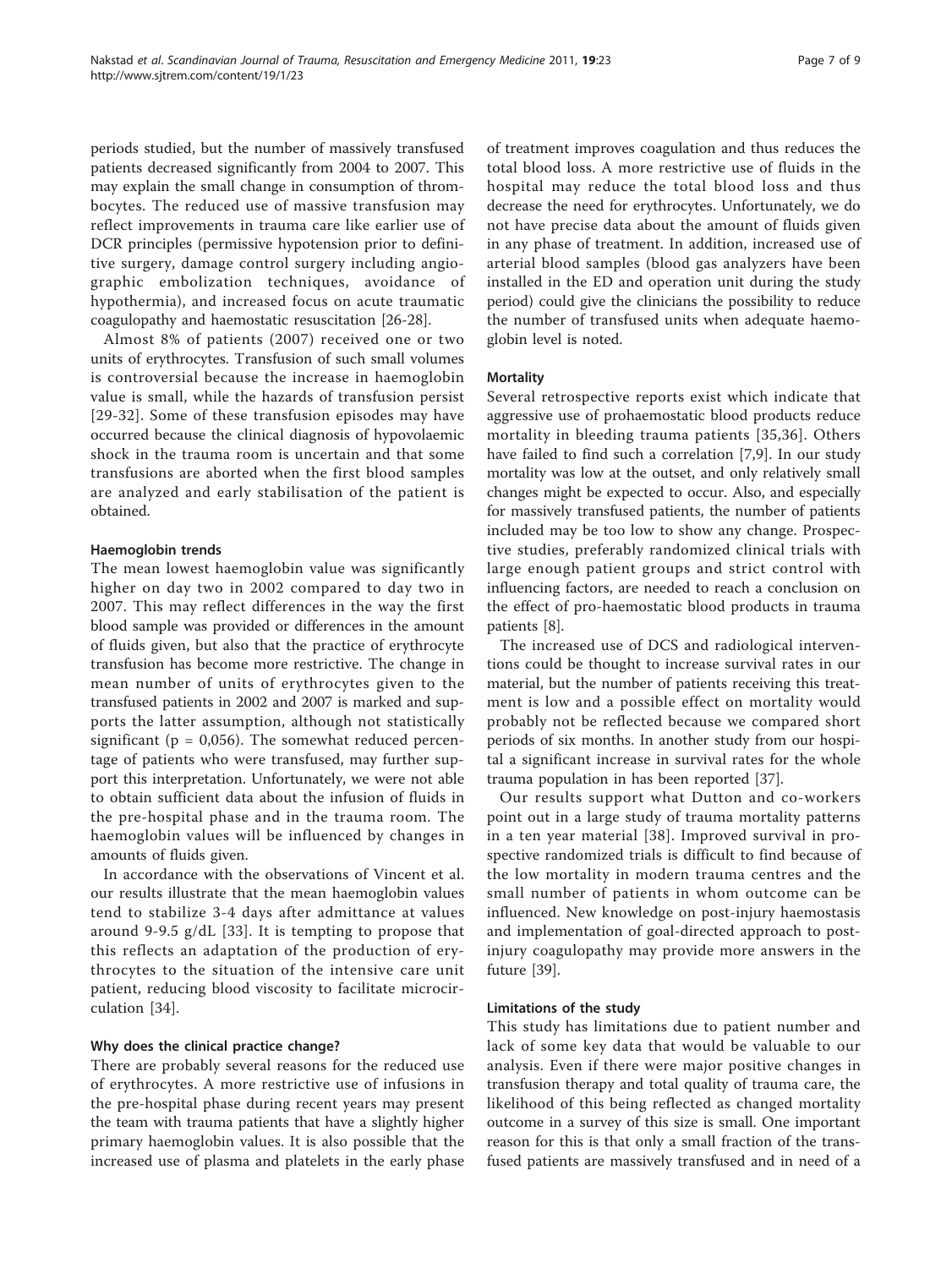periods studied, but the number of massively transfused patients decreased significantly from 2004 to 2007. This may explain the small change in consumption of thrombocytes. The reduced use of massive transfusion may reflect improvements in trauma care like earlier use of DCR principles (permissive hypotension prior to definitive surgery, damage control surgery including angiographic embolization techniques, avoidance of hypothermia), and increased focus on acute traumatic coagulopathy and haemostatic resuscitation [[26](#page-8-0)-[28\]](#page-8-0).

Almost 8% of patients (2007) received one or two units of erythrocytes. Transfusion of such small volumes is controversial because the increase in haemoglobin value is small, while the hazards of transfusion persist [[29](#page-8-0)-[32](#page-8-0)]. Some of these transfusion episodes may have occurred because the clinical diagnosis of hypovolaemic shock in the trauma room is uncertain and that some transfusions are aborted when the first blood samples are analyzed and early stabilisation of the patient is obtained.

#### Haemoglobin trends

The mean lowest haemoglobin value was significantly higher on day two in 2002 compared to day two in 2007. This may reflect differences in the way the first blood sample was provided or differences in the amount of fluids given, but also that the practice of erythrocyte transfusion has become more restrictive. The change in mean number of units of erythrocytes given to the transfused patients in 2002 and 2007 is marked and supports the latter assumption, although not statistically significant ( $p = 0.056$ ). The somewhat reduced percentage of patients who were transfused, may further support this interpretation. Unfortunately, we were not able to obtain sufficient data about the infusion of fluids in the pre-hospital phase and in the trauma room. The haemoglobin values will be influenced by changes in amounts of fluids given.

In accordance with the observations of Vincent et al. our results illustrate that the mean haemoglobin values tend to stabilize 3-4 days after admittance at values around 9-9.5 g/dL [[33](#page-8-0)]. It is tempting to propose that this reflects an adaptation of the production of erythrocytes to the situation of the intensive care unit patient, reducing blood viscosity to facilitate microcirculation [[34\]](#page-8-0).

## Why does the clinical practice change?

There are probably several reasons for the reduced use of erythrocytes. A more restrictive use of infusions in the pre-hospital phase during recent years may present the team with trauma patients that have a slightly higher primary haemoglobin values. It is also possible that the increased use of plasma and platelets in the early phase of treatment improves coagulation and thus reduces the total blood loss. A more restrictive use of fluids in the hospital may reduce the total blood loss and thus decrease the need for erythrocytes. Unfortunately, we do not have precise data about the amount of fluids given in any phase of treatment. In addition, increased use of arterial blood samples (blood gas analyzers have been installed in the ED and operation unit during the study period) could give the clinicians the possibility to reduce the number of transfused units when adequate haemoglobin level is noted.

#### Mortality

Several retrospective reports exist which indicate that aggressive use of prohaemostatic blood products reduce mortality in bleeding trauma patients [\[35,36\]](#page-8-0). Others have failed to find such a correlation [[7,9\]](#page-7-0). In our study mortality was low at the outset, and only relatively small changes might be expected to occur. Also, and especially for massively transfused patients, the number of patients included may be too low to show any change. Prospective studies, preferably randomized clinical trials with large enough patient groups and strict control with influencing factors, are needed to reach a conclusion on the effect of pro-haemostatic blood products in trauma patients [\[8\]](#page-7-0).

The increased use of DCS and radiological interventions could be thought to increase survival rates in our material, but the number of patients receiving this treatment is low and a possible effect on mortality would probably not be reflected because we compared short periods of six months. In another study from our hospital a significant increase in survival rates for the whole trauma population in has been reported [\[37](#page-8-0)].

Our results support what Dutton and co-workers point out in a large study of trauma mortality patterns in a ten year material [[38\]](#page-8-0). Improved survival in prospective randomized trials is difficult to find because of the low mortality in modern trauma centres and the small number of patients in whom outcome can be influenced. New knowledge on post-injury haemostasis and implementation of goal-directed approach to postinjury coagulopathy may provide more answers in the future [[39](#page-8-0)].

#### Limitations of the study

This study has limitations due to patient number and lack of some key data that would be valuable to our analysis. Even if there were major positive changes in transfusion therapy and total quality of trauma care, the likelihood of this being reflected as changed mortality outcome in a survey of this size is small. One important reason for this is that only a small fraction of the transfused patients are massively transfused and in need of a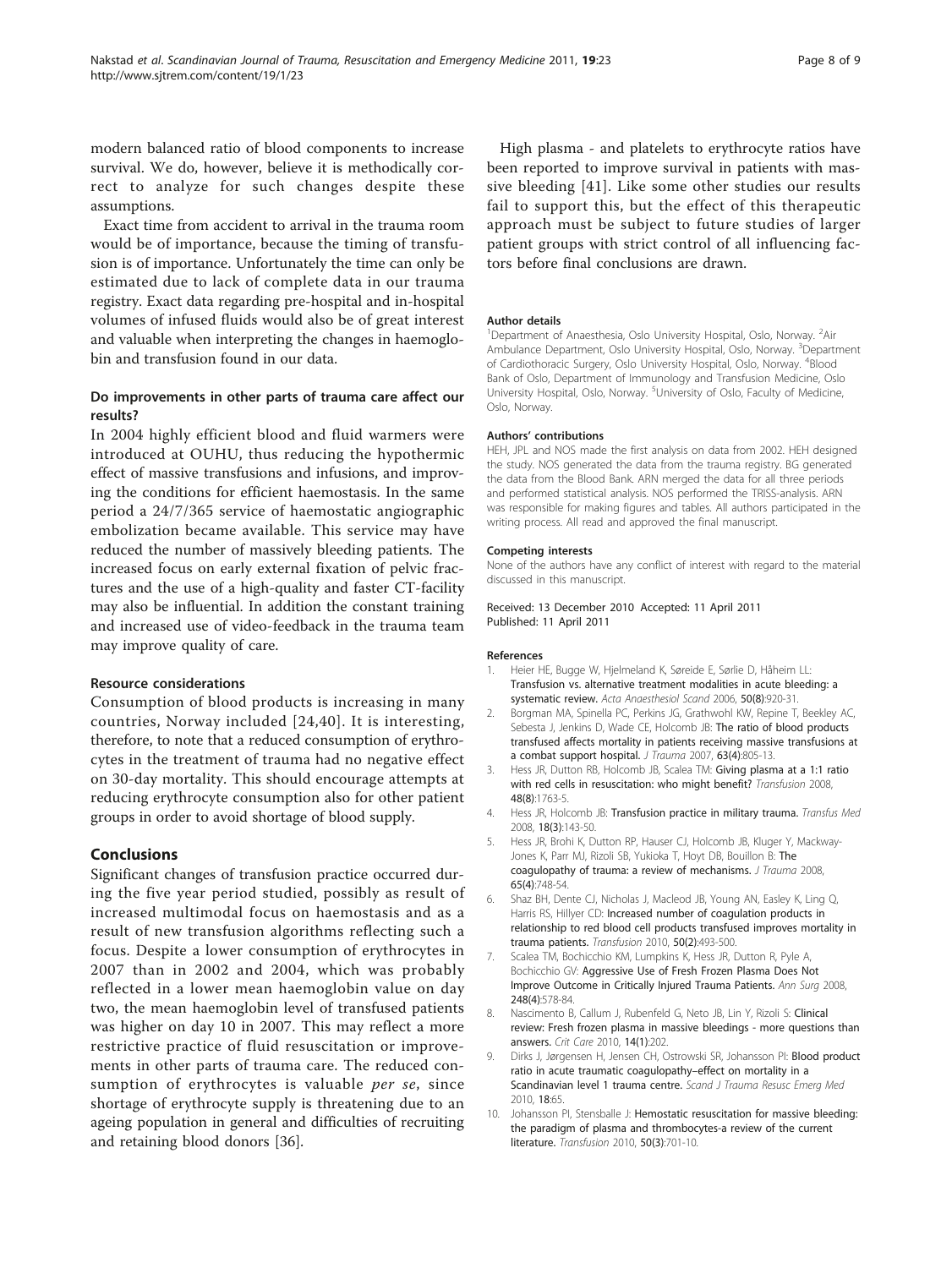<span id="page-7-0"></span>modern balanced ratio of blood components to increase survival. We do, however, believe it is methodically correct to analyze for such changes despite these assumptions.

Exact time from accident to arrival in the trauma room would be of importance, because the timing of transfusion is of importance. Unfortunately the time can only be estimated due to lack of complete data in our trauma registry. Exact data regarding pre-hospital and in-hospital volumes of infused fluids would also be of great interest and valuable when interpreting the changes in haemoglobin and transfusion found in our data.

## Do improvements in other parts of trauma care affect our results?

In 2004 highly efficient blood and fluid warmers were introduced at OUHU, thus reducing the hypothermic effect of massive transfusions and infusions, and improving the conditions for efficient haemostasis. In the same period a 24/7/365 service of haemostatic angiographic embolization became available. This service may have reduced the number of massively bleeding patients. The increased focus on early external fixation of pelvic fractures and the use of a high-quality and faster CT-facility may also be influential. In addition the constant training and increased use of video-feedback in the trauma team may improve quality of care.

## Resource considerations

Consumption of blood products is increasing in many countries, Norway included [[24](#page-8-0),[40](#page-8-0)]. It is interesting, therefore, to note that a reduced consumption of erythrocytes in the treatment of trauma had no negative effect on 30-day mortality. This should encourage attempts at reducing erythrocyte consumption also for other patient groups in order to avoid shortage of blood supply.

## Conclusions

Significant changes of transfusion practice occurred during the five year period studied, possibly as result of increased multimodal focus on haemostasis and as a result of new transfusion algorithms reflecting such a focus. Despite a lower consumption of erythrocytes in 2007 than in 2002 and 2004, which was probably reflected in a lower mean haemoglobin value on day two, the mean haemoglobin level of transfused patients was higher on day 10 in 2007. This may reflect a more restrictive practice of fluid resuscitation or improvements in other parts of trauma care. The reduced consumption of erythrocytes is valuable per se, since shortage of erythrocyte supply is threatening due to an ageing population in general and difficulties of recruiting and retaining blood donors [\[36\]](#page-8-0).

High plasma - and platelets to erythrocyte ratios have been reported to improve survival in patients with massive bleeding [[41](#page-8-0)]. Like some other studies our results fail to support this, but the effect of this therapeutic approach must be subject to future studies of larger patient groups with strict control of all influencing factors before final conclusions are drawn.

#### Author details

<sup>1</sup>Department of Anaesthesia, Oslo University Hospital, Oslo, Norway. <sup>2</sup>Air Ambulance Department, Oslo University Hospital, Oslo, Norway. <sup>3</sup>Department of Cardiothoracic Surgery, Oslo University Hospital, Oslo, Norway. <sup>4</sup>Blood Bank of Oslo, Department of Immunology and Transfusion Medicine, Oslo University Hospital, Oslo, Norway. <sup>5</sup>University of Oslo, Faculty of Medicine Oslo, Norway.

#### Authors' contributions

HEH, JPL and NOS made the first analysis on data from 2002. HEH designed the study. NOS generated the data from the trauma registry. BG generated the data from the Blood Bank. ARN merged the data for all three periods and performed statistical analysis. NOS performed the TRISS-analysis. ARN was responsible for making figures and tables. All authors participated in the writing process. All read and approved the final manuscript.

#### Competing interests

None of the authors have any conflict of interest with regard to the material discussed in this manuscript.

#### Received: 13 December 2010 Accepted: 11 April 2011 Published: 11 April 2011

#### References

- 1. Heier HE, Bugge W, Hjelmeland K, Søreide E, Sørlie D, Håheim LL: [Transfusion vs. alternative treatment modalities in acute bleeding: a](http://www.ncbi.nlm.nih.gov/pubmed/16923085?dopt=Abstract) [systematic review.](http://www.ncbi.nlm.nih.gov/pubmed/16923085?dopt=Abstract) Acta Anaesthesiol Scand 2006, 50(8):920-31.
- 2. Borgman MA, Spinella PC, Perkins JG, Grathwohl KW, Repine T, Beekley AC, Sebesta J, Jenkins D, Wade CE, Holcomb JB: [The ratio of blood products](http://www.ncbi.nlm.nih.gov/pubmed/18090009?dopt=Abstract) [transfused affects mortality in patients receiving massive transfusions at](http://www.ncbi.nlm.nih.gov/pubmed/18090009?dopt=Abstract) [a combat support hospital.](http://www.ncbi.nlm.nih.gov/pubmed/18090009?dopt=Abstract) J Trauma 2007, 63(4):805-13.
- 3. Hess JR, Dutton RB, Holcomb JB, Scalea TM: [Giving plasma at a 1:1 ratio](http://www.ncbi.nlm.nih.gov/pubmed/18482190?dopt=Abstract) [with red cells in resuscitation: who might benefit?](http://www.ncbi.nlm.nih.gov/pubmed/18482190?dopt=Abstract) Transfusion 2008, 48(8):1763-5.
- 4. Hess JR, Holcomb JB: [Transfusion practice in military trauma.](http://www.ncbi.nlm.nih.gov/pubmed/18598276?dopt=Abstract) Transfus Med 2008, 18(3):143-50.
- 5. Hess JR, Brohi K, Dutton RP, Hauser CJ, Holcomb JB, Kluger Y, Mackway-Jones K, Parr MJ, Rizoli SB, Yukioka T, Hoyt DB, Bouillon B: [The](http://www.ncbi.nlm.nih.gov/pubmed/18849786?dopt=Abstract) [coagulopathy of trauma: a review of mechanisms.](http://www.ncbi.nlm.nih.gov/pubmed/18849786?dopt=Abstract) J Trauma 2008, 65(4):748-54.
- 6. Shaz BH, Dente CJ, Nicholas J, Macleod JB, Young AN, Easley K, Ling Q, Harris RS, Hillyer CD: [Increased number of coagulation products in](http://www.ncbi.nlm.nih.gov/pubmed/19804568?dopt=Abstract) [relationship to red blood cell products transfused improves mortality in](http://www.ncbi.nlm.nih.gov/pubmed/19804568?dopt=Abstract) [trauma patients.](http://www.ncbi.nlm.nih.gov/pubmed/19804568?dopt=Abstract) Transfusion 2010, 50(2):493-500.
- 7. Scalea TM, Bochicchio KM, Lumpkins K, Hess JR, Dutton R, Pyle A, Bochicchio GV: [Aggressive Use of Fresh Frozen Plasma Does Not](http://www.ncbi.nlm.nih.gov/pubmed/18936570?dopt=Abstract) [Improve Outcome in Critically Injured Trauma Patients.](http://www.ncbi.nlm.nih.gov/pubmed/18936570?dopt=Abstract) Ann Surg 2008, 248(4):578-84.
- 8. Nascimento B, Callum J, Rubenfeld G, Neto JB, Lin Y, Rizoli S: [Clinical](http://www.ncbi.nlm.nih.gov/pubmed/20156316?dopt=Abstract) [review: Fresh frozen plasma in massive bleedings - more questions than](http://www.ncbi.nlm.nih.gov/pubmed/20156316?dopt=Abstract) [answers.](http://www.ncbi.nlm.nih.gov/pubmed/20156316?dopt=Abstract) Crit Care 2010, 14(1):202.
- 9. Dirks J, Jørgensen H, Jensen CH, Ostrowski SR, Johansson PI: [Blood product](http://www.ncbi.nlm.nih.gov/pubmed/21138569?dopt=Abstract) [ratio in acute traumatic coagulopathy](http://www.ncbi.nlm.nih.gov/pubmed/21138569?dopt=Abstract)–effect on mortality in a [Scandinavian level 1 trauma centre.](http://www.ncbi.nlm.nih.gov/pubmed/21138569?dopt=Abstract) Scand J Trauma Resusc Emerg Med 2010, 18:65.
- 10. Johansson PI, Stensballe J: [Hemostatic resuscitation for massive bleeding:](http://www.ncbi.nlm.nih.gov/pubmed/19929864?dopt=Abstract) [the paradigm of plasma and thrombocytes-a review of the current](http://www.ncbi.nlm.nih.gov/pubmed/19929864?dopt=Abstract) [literature.](http://www.ncbi.nlm.nih.gov/pubmed/19929864?dopt=Abstract) Transfusion 2010, 50(3):701-10.